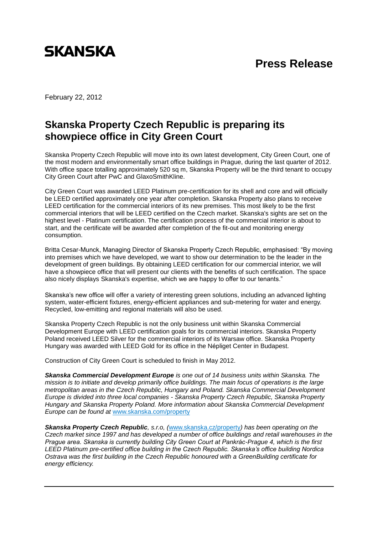

## **Press Release**

February 22, 2012

## **Skanska Property Czech Republic is preparing its showpiece office in City Green Court**

Skanska Property Czech Republic will move into its own latest development, City Green Court, one of the most modern and environmentally smart office buildings in Prague, during the last quarter of 2012. With office space totalling approximately 520 sq m, Skanska Property will be the third tenant to occupy City Green Court after PwC and GlaxoSmithKline.

City Green Court was awarded LEED Platinum pre-certification for its shell and core and will officially be LEED certified approximately one year after completion. Skanska Property also plans to receive LEED certification for the commercial interiors of its new premises. This most likely to be the first commercial interiors that will be LEED certified on the Czech market. Skanska's sights are set on the highest level - Platinum certification. The certification process of the commercial interior is about to start, and the certificate will be awarded after completion of the fit-out and monitoring energy consumption.

Britta Cesar-Munck, Managing Director of Skanska Property Czech Republic, emphasised: "By moving into premises which we have developed, we want to show our determination to be the leader in the development of green buildings. By obtaining LEED certification for our commercial interior, we will have a showpiece office that will present our clients with the benefits of such certification. The space also nicely displays Skanska's expertise, which we are happy to offer to our tenants."

Skanska's new office will offer a variety of interesting green solutions, including an advanced lighting system, water-efficient fixtures, energy-efficient appliances and sub-metering for water and energy. Recycled, low-emitting and regional materials will also be used.

Skanska Property Czech Republic is not the only business unit within Skanska Commercial Development Europe with LEED certification goals for its commercial interiors. Skanska Property Poland received LEED Silver for the commercial interiors of its Warsaw office. Skanska Property Hungary was awarded with LEED Gold for its office in the Népliget Center in Budapest.

Construction of City Green Court is scheduled to finish in May 2012.

*Skanska Commercial Development Europe is one out of 14 business units within Skanska. The mission is to initiate and develop primarily office buildings. The main focus of operations is the large metropolitan areas in the Czech Republic, Hungary and Poland. Skanska Commercial Development Europe is divided into three local companies - Skanska Property Czech Republic, Skanska Property Hungary and Skanska Property Poland. More information about Skanska Commercial Development Europe can be found at* [www.skanska.com/property](http://www.skanska.com/property)

*Skanska Property Czech Republic, s.r.o, (*[www.skanska.cz/property](http://www.skanska.cz/property)*) has been operating on the Czech market since 1997 and has developed a number of office buildings and retail warehouses in the Prague area. Skanska is currently building City Green Court at Pankrác-Prague 4, which is the first LEED Platinum pre-certified office building in the Czech Republic. Skanska's office building Nordica Ostrava was the first building in the Czech Republic honoured with a GreenBuilding certificate for energy efficiency.*